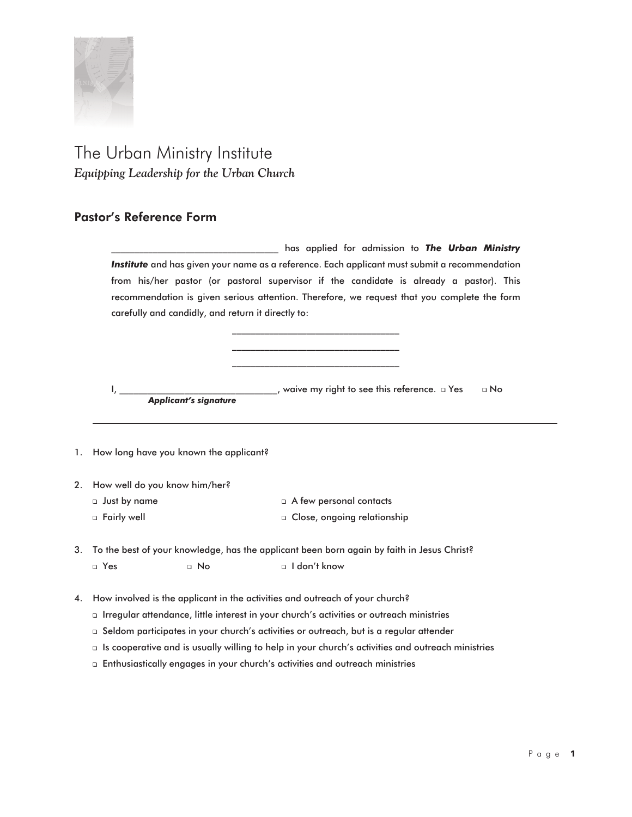

## The Urban Ministry Institute *Equipping Leadership for the Urban Church*

## **Pastor's Reference Form**

\_\_\_\_\_\_\_\_\_\_\_\_\_\_\_\_\_\_\_\_\_\_\_\_\_\_\_\_\_\_\_\_\_\_\_\_ has applied for admission to *The Urban Ministry Institute* and has given your name as a reference. Each applicant must submit a recommendation from his/her pastor (or pastoral supervisor if the candidate is already a pastor). This recommendation is given serious attention. Therefore, we request that you complete the form carefully and candidly, and return it directly to:

> \_\_\_\_\_\_\_\_\_\_\_\_\_\_\_\_\_\_\_\_\_\_\_\_\_\_\_\_\_\_\_\_\_\_\_\_ \_\_\_\_\_\_\_\_\_\_\_\_\_\_\_\_\_\_\_\_\_\_\_\_\_\_\_\_\_\_\_\_\_\_\_\_ \_\_\_\_\_\_\_\_\_\_\_\_\_\_\_\_\_\_\_\_\_\_\_\_\_\_\_\_\_\_\_\_\_\_\_\_

I, \_\_\_\_\_\_\_\_\_\_\_\_\_\_\_\_\_\_\_\_\_\_\_\_\_\_\_\_\_\_, waive my right to see this reference. □ Yes - □ No *Applicant's signature*

- 1. How long have you known the applicant?
- 2. How well do you know him/her?
	- $\Box$  Just by name  $\Box$
	- Fairly well -

 A few personal contacts Close, ongoing relationship

- 3. To the best of your knowledge, has the applicant been born again by faith in Jesus Christ? u Yes a unu  $\Box$  No I don't know
- 4. How involved is the applicant in the activities and outreach of your church?
	- □ Irregular attendance, little interest in your church's activities or outreach ministries
	- □ Seldom participates in your church's activities or outreach, but is a regular attender
	- $\Box$  Is cooperative and is usually willing to help in your church's activities and outreach ministries
	- Enthusiastically engages in your church's activities and outreach ministries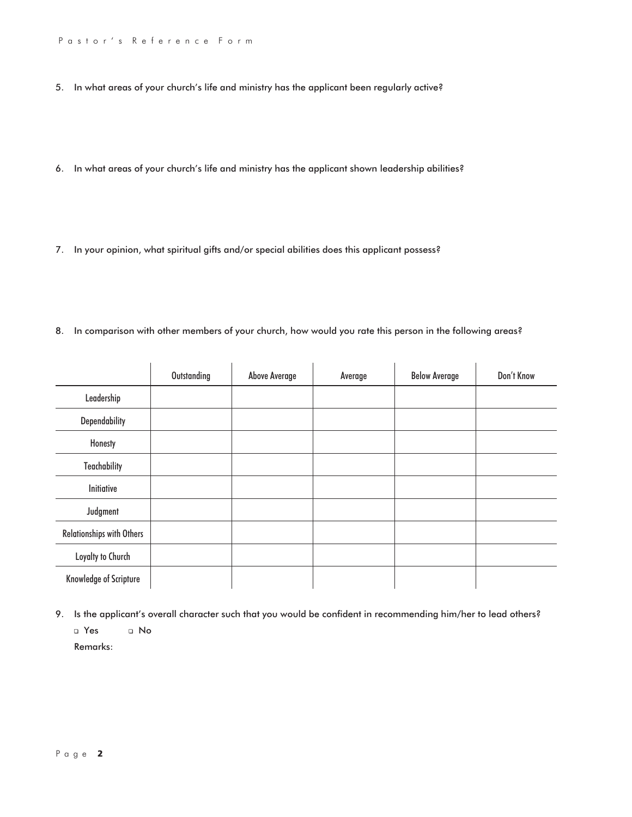- 5. In what areas of your church's life and ministry has the applicant been regularly active?
- 6. In what areas of your church's life and ministry has the applicant shown leadership abilities?
- 7. In your opinion, what spiritual gifts and/or special abilities does this applicant possess?
- 8. In comparison with other members of your church, how would you rate this person in the following areas?

|                           | Outstanding | <b>Above Average</b> | Average | <b>Below Average</b> | Don't Know |
|---------------------------|-------------|----------------------|---------|----------------------|------------|
| Leadership                |             |                      |         |                      |            |
| Dependability             |             |                      |         |                      |            |
| Honesty                   |             |                      |         |                      |            |
| <b>Teachability</b>       |             |                      |         |                      |            |
| Initiative                |             |                      |         |                      |            |
| Judgment                  |             |                      |         |                      |            |
| Relationships with Others |             |                      |         |                      |            |
| Loyalty to Church         |             |                      |         |                      |            |
| Knowledge of Scripture    |             |                      |         |                      |            |

9. Is the applicant's overall character such that you would be confident in recommending him/her to lead others? a Yes a No Remarks: